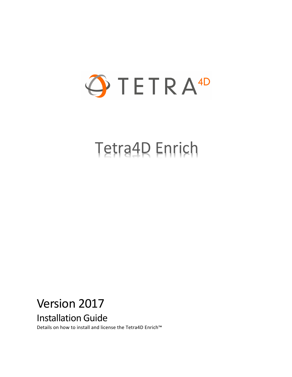

# Tetra4D Enrich

# Version 2017

Installation Guide

Details on how to install and license the Tetra4D Enrich™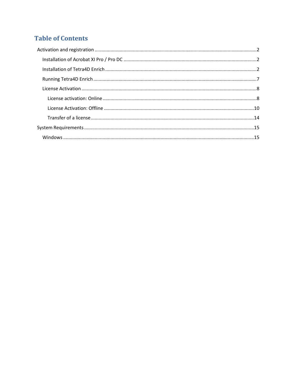## **Table of Contents**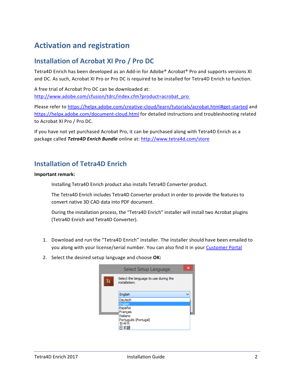# <span id="page-2-0"></span>**Activation and registration**

### <span id="page-2-1"></span>**Installation of Acrobat XI Pro / Pro DC**

Tetra4D Enrich has been developed as an Add-in for Adobe® Acrobat® Pro and supports versions XI and DC. As such, Acrobat XI Pro or Pro DC is required to be installed for Tetra4D Enrich to function.

A free trial of Acrobat Pro DC can be downloaded at: [http://www.adobe.com/cfusion/tdrc/index.cfm?product=acrobat\\_pro](http://www.adobe.com/cfusion/tdrc/index.cfm?product=acrobat_pro)

Please refer to<https://helpx.adobe.com/creative-cloud/learn/tutorials/acrobat.html#get-started> and <https://helpx.adobe.com/document-cloud.html> for detailed instructions and troubleshooting related to Acrobat XI Pro / Pro DC.

If you have not yet purchased Acrobat Pro, it can be purchased along with Tetra4D Enrich as a package called *Tetra4D Enrich Bundle* online at:<http://www.tetra4d.com/store>

#### <span id="page-2-2"></span>**Installation of Tetra4D Enrich**

#### **Important remark:**

Installing Tetra4D Enrich product also installs Tetra4D Converter product.

The Tetra4D Enrich includes Tetra4D Converter product in order to provide the features to convert native 3D CAD data into PDF document.

During the installation process, the "Tetra4D Enrich" installer will install two Acrobat plugins (Tetra4D Enrich and Tetra4D Converter).

- 1. Download and run the "Tetra4D Enrich" installer. The installer should have been emailed to you along with your license/serial number. You can also find it in your [Customer Portal](https://system.netsuite.com/core/media/media.nl?id=1512340&c=1268810&h=7381c1353a387fc86a78&_xt=.html)
- 2. Select the desired setup language and choose **OK:**

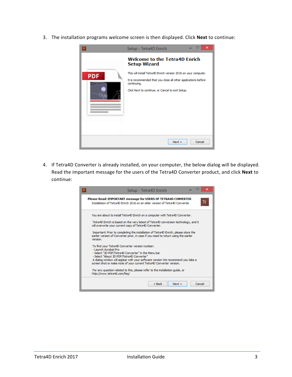3. The installation programs welcome screen is then displayed. Click **Next** to continue:



4. If Tetra4D Converter is already installed, on your computer, the below dialog will be displayed. Read the important message for the users of the Tetra4D Converter product, and click **Next** to continue:

| ×<br>Setup - Tetra4D Enrich<br>TE.                                                                                                                                                                                                                                                                                                                                                                                       |
|--------------------------------------------------------------------------------------------------------------------------------------------------------------------------------------------------------------------------------------------------------------------------------------------------------------------------------------------------------------------------------------------------------------------------|
| Please Read: IMPORTANT message for USERS OF TETRA4D CONVERTER<br>TE<br>Installation of Tetra4D Enrich 2016 on an older version of Tetra4D Converter                                                                                                                                                                                                                                                                      |
| You are about to install Tetra4D Enrich on a computer with Tetra4D Converter.<br>Tetra4D Enrich is based on the very latest of Tetra4D conversion technology, and it<br>will overwrite your current copy of Tetra4D Converter.<br>Important: Prior to completing the installation of Tetra4D Enrich, please store the<br>earlier version of Converter prior, in case if you need to return using the earlier<br>version. |
| To find your Tetra4D Converter version number:<br>- Launch Acrobat Pro<br>- Select "3D PDF/Tetra4D Converter" in the Menu bar<br>- Select "About 3D PDF/Tetra4D Converter"<br>A dialog window will appear with your software version We recommend you take a<br>screen shot or make note of your current Tetra4D Converter version.<br>For any question related to this, please refer to the installation guide, or      |
| http://www.tetra4d.com/fag/<br>$Back$<br>Next ><br>Cancel                                                                                                                                                                                                                                                                                                                                                                |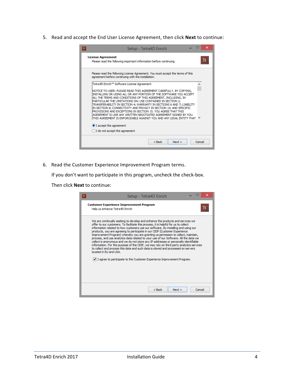5. Read and accept the End User License Agreement, then click **Next** to continue:

| Setup - Tetra4D Enrich                                                                                                                                                                                                                                                                                                                                                                                                                                                                                                                                                                                                            | ×      |
|-----------------------------------------------------------------------------------------------------------------------------------------------------------------------------------------------------------------------------------------------------------------------------------------------------------------------------------------------------------------------------------------------------------------------------------------------------------------------------------------------------------------------------------------------------------------------------------------------------------------------------------|--------|
| <b>License Agreement</b><br>Please read the following important information before continuing.                                                                                                                                                                                                                                                                                                                                                                                                                                                                                                                                    | ΙF     |
| Please read the following License Agreement. You must accept the terms of this<br>agreement before continuing with the installation.                                                                                                                                                                                                                                                                                                                                                                                                                                                                                              |        |
| Tetra4D Enrich™ Software License Agreement                                                                                                                                                                                                                                                                                                                                                                                                                                                                                                                                                                                        | ۸      |
| INOTICE TO USER: PLEASE READ THIS AGREEMENT CAREFULLY, BY COPYING,<br>INSTALLING OR USING ALL OR ANY PORTION OF THE SOFTWARE YOU ACCEPT<br>ALL THE TERMS AND CONDITIONS OF THIS AGREEMENT, INCLUDING, IN<br>PARTICULAR THE LIMITATIONS ON: USE CONTAINED IN SECTION 2;<br>TRANSFERABILITY IN SECTION 4; WARRANTY IN SECTIONS 6 AND 7; LIABILITY<br>IN SECTION 8; CONNECTIVITY AND PRIVACY IN SECTION 14; AND SPECIFIC<br>PROVISIONS AND EXCEPTIONS IN SECTION 15, YOU AGREE THAT THIS<br>AGREEMENT IS LIKE ANY WRITTEN NEGOTIATED AGREEMENT SIGNED BY YOU.<br>THIS AGREEMENT IS ENFORCEABLE AGAINST YOU AND ANY LEGAL ENTITY THAT |        |
| I accept the agreement                                                                                                                                                                                                                                                                                                                                                                                                                                                                                                                                                                                                            |        |
| I do not accept the agreement                                                                                                                                                                                                                                                                                                                                                                                                                                                                                                                                                                                                     |        |
| $Back$<br>Next                                                                                                                                                                                                                                                                                                                                                                                                                                                                                                                                                                                                                    | Cancel |

6. Read the Customer Experience Improvement Program terms.

If you don't want to participate in this program, uncheck the check-box.

Then click **Next** to continue:

| Setup - Tetra4D Enrich                                                                                                                                                                                                                                                                                                                                                                                                                                                                                                                                                                                                                                                                                                                                                                                                                                                                                   |
|----------------------------------------------------------------------------------------------------------------------------------------------------------------------------------------------------------------------------------------------------------------------------------------------------------------------------------------------------------------------------------------------------------------------------------------------------------------------------------------------------------------------------------------------------------------------------------------------------------------------------------------------------------------------------------------------------------------------------------------------------------------------------------------------------------------------------------------------------------------------------------------------------------|
| <b>Customer Experience Improvement Program</b><br>TE.<br>Help us enhance Tetra4D Enrich                                                                                                                                                                                                                                                                                                                                                                                                                                                                                                                                                                                                                                                                                                                                                                                                                  |
| We are continually seeking to develop and enhance the products and services we<br>offer to our customers. To facilitate this process, it is helpful for us to collect<br>information related to how customers use our software. By installing and using our<br>products, you are agreeing to participate in our CEIP (Customer Experience<br>Improvement Program) whereby you are granting us permission to collect, maintain,<br>process, and use analytics data related to your use of our Software. All the data we<br>collect is anonymous and we do not store any IP addresses or personally identifiable<br>information. For the purpose of the CEIP, we may rely on third party analytics services<br>to collect and process this data and such data is stored and processed on servers<br>located in EU and USA.<br>$ v $ I agree to participate to the Customer Experience Improvement Program. |
| Cancel<br>$Back$<br>Next                                                                                                                                                                                                                                                                                                                                                                                                                                                                                                                                                                                                                                                                                                                                                                                                                                                                                 |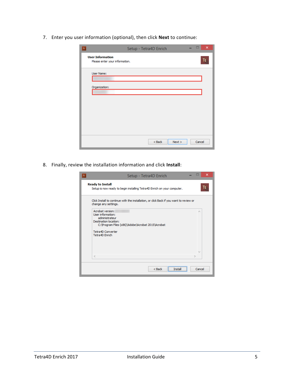7. Enter you user information (optional), then click **Next** to continue:

| TE                                                        | Setup - Tetra4D Enrich |        | $\boldsymbol{\mathsf{x}}$ |
|-----------------------------------------------------------|------------------------|--------|---------------------------|
| <b>User Information</b><br>Please enter your information. |                        |        | TE.                       |
| User Name:<br>Organization:                               |                        |        |                           |
|                                                           |                        |        |                           |
|                                                           |                        |        |                           |
|                                                           |                        |        |                           |
|                                                           | $<$ Back<br>Next       | Cancel |                           |

8. Finally, review the installation information and click **Install**:

| Setup - Tetra4D Enrich                                                                                                                                                           | ×      |
|----------------------------------------------------------------------------------------------------------------------------------------------------------------------------------|--------|
| <b>Ready to Install</b><br>Setup is now ready to begin installing Tetra4D Enrich on your computer.                                                                               | TE.    |
| Click Install to continue with the installation, or click Back if you want to review or<br>change any settings.                                                                  |        |
| Acrobat version:<br>User information:<br>administrateur<br>Destination location:<br>C: VProgram Files (x86) VAdobe VAcrobat 2015 VAcrobat<br>Tetra4D Converter<br>Tetra4D Enrich | r.     |
| $\epsilon$                                                                                                                                                                       |        |
| $Back$<br>Insta                                                                                                                                                                  | Cancel |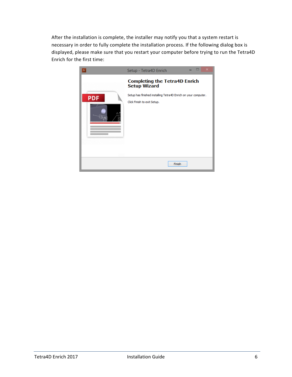After the installation is complete, the installer may notify you that a system restart is necessary in order to fully complete the installation process. If the following dialog box is displayed, please make sure that you restart your computer before trying to run the Tetra4D Enrich for the first time:

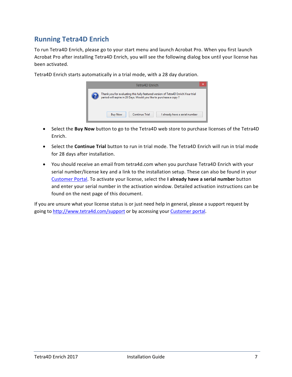### <span id="page-7-0"></span>**Running Tetra4D Enrich**

To run Tetra4D Enrich, please go to your start menu and launch Acrobat Pro. When you first launch Acrobat Pro after installing Tetra4D Enrich, you will see the following dialog box until your license has been activated.

> Tetra4D Enrich Thank you for evaluating this fully featured version of Tetra4D Enrich.Your trial<br>period will expire in 28 Days. Would you like to purchase a copy ? **Buy Now Continue Trial** I already have a serial number

Tetra4D Enrich starts automatically in a trial mode, with a 28 day duration.

- Select the **Buy Now** button to go to the Tetra4D web store to purchase licenses of the Tetra4D Enrich.
- Select the **Continue Trial** button to run in trial mode. The Tetra4D Enrich will run in trial mode for 28 days after installation.
- You should receive an email from tetra4d.com when you purchase Tetra4D Enrich with your serial number/license key and a link to the installation setup. These can also be found in your [Customer Portal.](https://system.netsuite.com/core/media/media.nl?id=1512340&c=1268810&h=7381c1353a387fc86a78&_xt=.html) To activate your license, select the **I already have a serial number** button and enter your serial number in the activation window. Detailed activation instructions can be found on the next page of this document.

If you are unsure what your license status is or just need help in general, please a support request by going to<http://www.tetra4d.com/support> or by accessing you[r Customer portal.](https://system.netsuite.com/core/media/media.nl?id=1512340&c=1268810&h=7381c1353a387fc86a78&_xt=.html)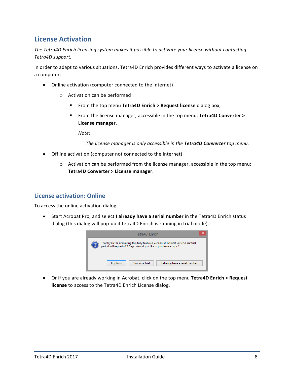### <span id="page-8-0"></span>**License Activation**

*The Tetra4D Enrich licensing system makes it possible to activate your license without contacting Tetra4D support.*

In order to adapt to various situations, Tetra4D Enrich provides different ways to activate a license on a computer:

- Online activation (computer connected to the Internet)
	- o Activation can be performed
		- From the top menu **Tetra4D Enrich > Request license** dialog box,
		- From the license manager, accessible in the top menu: **Tetra4D Converter > License manager**.

*Note:* 

*The license manager is only accessible in the Tetra4D Converter top menu.*

- Offline activation (computer not connected to the Internet)
	- o Activation can be performed from the license manager, accessible in the top menu: **Tetra4D Converter > License manager**.

#### <span id="page-8-1"></span>**License activation: Online**

To access the online activation dialog:

• Start Acrobat Pro, and select **I already have a serial number** in the Tetra4D Enrich status dialog (this dialog will pop-up if tetra4D Enrich is running in trial mode).



• Or if you are already working in Acrobat, click on the top menu **Tetra4D Enrich > Request license** to access to the Tetra4D Enrich License dialog.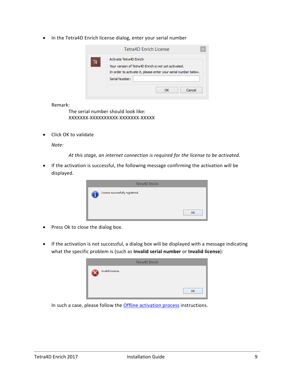• In the Tetra4D Enrich license dialog, enter your serial number

| Activate Tetra4D Enrich<br>TE<br>Your version of Tetra4D Enrich is not yet activated.<br>In order to activate it, please enter your serial number below.<br>Serial Number: | Tetra4D Enrich License |
|----------------------------------------------------------------------------------------------------------------------------------------------------------------------------|------------------------|
|                                                                                                                                                                            |                        |
|                                                                                                                                                                            |                        |

Remark:

The serial number should look like: XXXXXXX-XXXXXXXXXX-XXXXXXX-XXXXX

• Click OK to validate

*Note:*

*At this stage, an internet connection is required for the license to be activated.*

• If the activation is successful, the following message confirming the activation will be displayed.



- Press Ok to close the dialog box.
- If the activation is not successful, a dialog box will be displayed with a message indicating what the specific problem is (such as **Invalid serial number** or **Invalid license**):

|                  | <b>Tetra4D Enrich</b> |    |
|------------------|-----------------------|----|
| Invalid License. |                       |    |
|                  |                       | OK |

In such a case, please follow the **Offline activation process** instructions.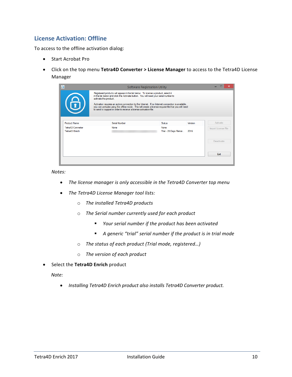#### <span id="page-10-0"></span>**License Activation: Offline**

To access to the offline activation dialog:

- Start Acrobat Pro
- Click on the top menu **Tetra4D Converter > License Manager** to access to the Tetra4D License Manager

| $\overline{\Phi}$                   | <b>Software Registration Utility</b>                                                                                                                                                                                                                                          |                               |         |                     |
|-------------------------------------|-------------------------------------------------------------------------------------------------------------------------------------------------------------------------------------------------------------------------------------------------------------------------------|-------------------------------|---------|---------------------|
|                                     | Registered products will appear in the list below. To license a product, select it<br>in the list below and click the Activate button. You will need your serial number to<br>activate the product.                                                                           |                               |         |                     |
|                                     | Activation requires an active connection to the Internet. If no Internet connection is available,<br>you can activate using the offline mode. This will create a license request file that you will need<br>to send to support in order to receive a license activation file. |                               |         |                     |
| <b>Product Name</b>                 | Serial Number                                                                                                                                                                                                                                                                 | <b>Status</b>                 | Version | Activate            |
| Tetra4D Converter<br>Tetra4D Enrich | None                                                                                                                                                                                                                                                                          | None<br>Trial - 28 Days Remai | 2016    | Import License File |
|                                     |                                                                                                                                                                                                                                                                               |                               |         | <b>Deactivate</b>   |
|                                     |                                                                                                                                                                                                                                                                               |                               |         | Exit                |
|                                     |                                                                                                                                                                                                                                                                               |                               |         |                     |

*Notes:*

- *The license manager is only accessible in the Tetra4D Converter top menu*
- *The Tetra4D License Manager tool lists:*
	- o *The installed Tetra4D products*
	- o *The Serial number currently used for each product*
		- *Your serial number if the product has been activated*
		- *A generic "trial" serial number if the product is in trial mode*
	- o *The status of each product (Trial mode, registered…)*
	- o *The version of each product*
- Select the **Tetra4D Enrich** product

*Note:*

• *Installing Tetra4D Enrich product also installs Tetra4D Converter product.*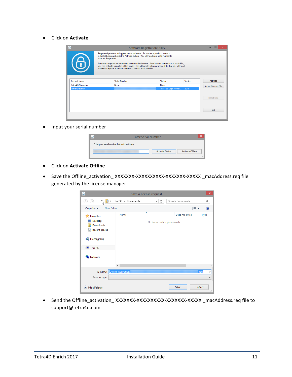• Click on **Activate**

| $\overline{\mathbf{Q}}$ |                       |                                                                                                                                                                                                                                                 | <b>Software Registration Utility</b>                                                                                                                                                                     |         |                     |
|-------------------------|-----------------------|-------------------------------------------------------------------------------------------------------------------------------------------------------------------------------------------------------------------------------------------------|----------------------------------------------------------------------------------------------------------------------------------------------------------------------------------------------------------|---------|---------------------|
| 6                       | activate the product. | Registered products will appear in the list below. To license a product, select it<br>in the list below and click the Activate button. You will need your serial number to<br>to send to support in order to receive a license activation file. | Activation requires an active connection to the Internet. If no Internet connection is available.<br>you can activate using the offline mode. This will create a license request file that you will need |         |                     |
| <b>Product Name</b>     |                       | Serial Number                                                                                                                                                                                                                                   | Status                                                                                                                                                                                                   | Version | Activate            |
| Tetra4D Converter       |                       | None                                                                                                                                                                                                                                            | None                                                                                                                                                                                                     |         | Import License File |
| Tetra4D Enrich          |                       |                                                                                                                                                                                                                                                 | Trial - 28 Days Remai                                                                                                                                                                                    | 2016    |                     |
|                         |                       |                                                                                                                                                                                                                                                 |                                                                                                                                                                                                          |         | Deactivate          |
|                         |                       |                                                                                                                                                                                                                                                 |                                                                                                                                                                                                          |         | Exit                |
|                         |                       |                                                                                                                                                                                                                                                 |                                                                                                                                                                                                          |         |                     |

• Input your serial number

| <b>Enter Serial Number</b>                  | x  |
|---------------------------------------------|----|
| Enter your serial number below to activate. |    |
| <b>Activate Online</b><br>Activate Offline  |    |
|                                             | .: |

- Click on **Activate Offline**
- Save the Offline\_activation\_ XXXXXXX-XXXXXXXXXXXXXXXXXXXXXXX \_macAddress.req file generated by the license manager

| ٥                                                                                                                               |                           | Save a license request           |                  | ×                       |
|---------------------------------------------------------------------------------------------------------------------------------|---------------------------|----------------------------------|------------------|-------------------------|
| $\odot$<br>b.                                                                                                                   | This PC > Documents       | Ċ<br>v                           | Search Documents | ρ                       |
| Organize $\blacktriangledown$<br>New folder                                                                                     |                           |                                  | ⊪ →              |                         |
| <b>X</b> Favorites<br>Desktop<br>Downloads<br>lń.<br><b>Recent places</b><br><b>R</b> Homegroup<br>This PC<br><b>Cu</b> Network | Name                      | Ä<br>No items match your search. | Date modified    | <b>Type</b>             |
|                                                                                                                                 | $\langle$                 |                                  |                  | $\mathcal{P}$           |
| File name:<br>Save as type:                                                                                                     | <b>Offline Activation</b> |                                  |                  | .req<br>v<br>v          |
| <b>Hide Folders</b>                                                                                                             |                           |                                  | Save             | Cancel<br>$\mathcal{M}$ |

• Send the Offline\_activation\_ XXXXXXX-XXXXXXXXXX-XXXXXX-XXXXX \_macAddress.req file to [support@tetra4d.com](mailto:support@tetra4d.com)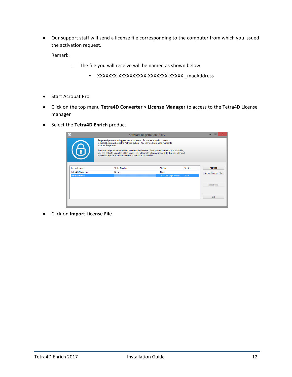• Our support staff will send a license file corresponding to the computer from which you issued the activation request.

Remark:

- o The file you will receive will be named as shown below:
	- XXXXXXX-XXXXXXXXXX-XXXXXXX-XXXXX \_macAddress
- Start Acrobat Pro
- Click on the top menu **Tetra4D Converter > License Manager** to access to the Tetra4D License manager
- Select the **Tetra4D Enrich** product

| $\overline{\mathbf{Q}}$ | <b>Software Registration Utility</b>                                                                                                                                                                                                                                          |                       |         |                     |  |  |
|-------------------------|-------------------------------------------------------------------------------------------------------------------------------------------------------------------------------------------------------------------------------------------------------------------------------|-----------------------|---------|---------------------|--|--|
|                         | Registered products will appear in the list below. To license a product, select it<br>in the list below and click the Activate button. You will need your serial number to<br>activate the product.                                                                           |                       |         |                     |  |  |
| 6                       | Activation requires an active connection to the Internet. If no Internet connection is available.<br>you can activate using the offline mode. This will create a license request file that you will need<br>to send to support in order to receive a license activation file. |                       |         |                     |  |  |
| <b>Product Name</b>     | Serial Number                                                                                                                                                                                                                                                                 | Status                | Version | Activate            |  |  |
| Tetra4D Converter       | None                                                                                                                                                                                                                                                                          | None                  |         | Import License File |  |  |
| Tetra4D Enrich          |                                                                                                                                                                                                                                                                               | Trial - 28 Days Remai | 2016    |                     |  |  |
|                         |                                                                                                                                                                                                                                                                               |                       |         | Deactivate          |  |  |
|                         |                                                                                                                                                                                                                                                                               |                       |         | Exit                |  |  |
|                         |                                                                                                                                                                                                                                                                               |                       |         |                     |  |  |

• Click on **Import License File**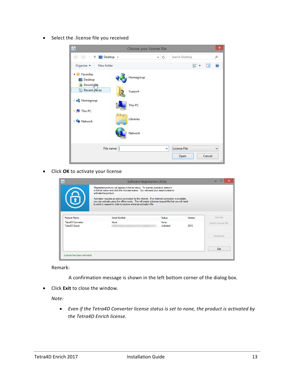• Select the .license file you received

| $\overline{\Phi}$                                               | Choose your license file |                          |                                        | $\boldsymbol{\mathsf{x}}$ |
|-----------------------------------------------------------------|--------------------------|--------------------------|----------------------------------------|---------------------------|
| Desktop ><br>$\rightarrow$<br>乔<br>$\left(\leftarrow$           |                          | Ċ<br>v                   | Search Desktop<br>۹                    |                           |
| Organize $\blacktriangleright$<br>New folder                    |                          |                          | 턃<br>0<br>Ш<br>$\overline{\mathbf{v}}$ |                           |
| <b>4 Favorites</b><br>Desktop<br>Downloghls                     | Homegroup                |                          |                                        |                           |
| <b>Recent places</b>                                            | Support                  |                          |                                        |                           |
| <b>B</b> Homegroup<br>$\triangleright$ [ $\blacksquare$ This PC | <b>This PC</b>           |                          |                                        |                           |
| <b>Exp</b> Network                                              | <b>Libraries</b>         |                          |                                        |                           |
|                                                                 | Network                  |                          |                                        |                           |
| File name:                                                      |                          | <b>License File</b><br>v | $\mathbf{v}$<br>Cancel<br>Open         |                           |
|                                                                 |                          |                          |                                        | $\mathbb{H}$              |

• Click **OK** to activate your license

| $\overline{\Phi}$                   |                                                                                                                                                                                                                                                                               | <b>Software Registration Utility</b> |         |                     |  |  |  |
|-------------------------------------|-------------------------------------------------------------------------------------------------------------------------------------------------------------------------------------------------------------------------------------------------------------------------------|--------------------------------------|---------|---------------------|--|--|--|
|                                     | Registered products will appear in the list below. To license a product, select it<br>in the list below and click the Activate button. You will need your serial number to<br>activate the product.                                                                           |                                      |         |                     |  |  |  |
| 6                                   | Activation requires an active connection to the Internet. If no Internet connection is available,<br>you can activate using the offline mode. This will create a license request file that you will need<br>to send to support in order to receive a license activation file. |                                      |         |                     |  |  |  |
| <b>Product Name</b>                 | Serial Number                                                                                                                                                                                                                                                                 | Status                               | Version | Activate            |  |  |  |
| Tetra4D Converter<br>Tetra4D Enrich | None                                                                                                                                                                                                                                                                          | None<br>Unlimited                    | 2016    | Import License File |  |  |  |
|                                     |                                                                                                                                                                                                                                                                               |                                      |         | <b>Deactivate</b>   |  |  |  |
|                                     |                                                                                                                                                                                                                                                                               |                                      |         | Exit                |  |  |  |
| License has been activated          |                                                                                                                                                                                                                                                                               |                                      |         |                     |  |  |  |

Remark:

A confirmation message is shown in the left bottom corner of the dialog box.

• Click **Exit** to close the window.

*Note:*

• *Even if the Tetra4D Converter license status is set to none, the product is activated by the Tetra4D Enrich license.*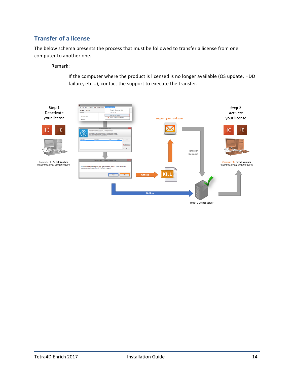#### <span id="page-14-0"></span>**Transfer of a license**

The below schema presents the process that must be followed to transfer a license from one computer to another one.

Remark:

If the computer where the product is licensed is no longer available (OS update, HDD failure, etc...), contact the support to execute the transfer.